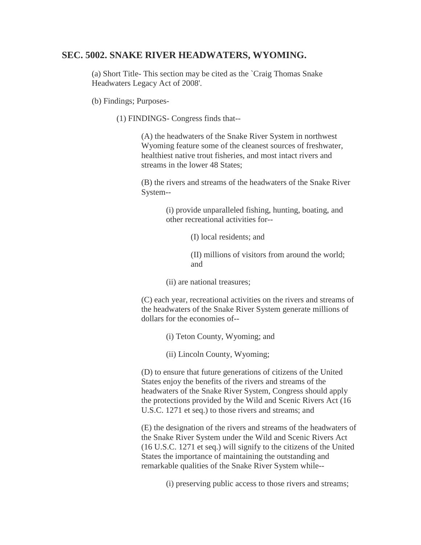# **SEC. 5002. SNAKE RIVER HEADWATERS, WYOMING.**

(a) Short Title- This section may be cited as the `Craig Thomas Snake Headwaters Legacy Act of 2008'.

(b) Findings; Purposes-

(1) FINDINGS- Congress finds that--

(A) the headwaters of the Snake River System in northwest Wyoming feature some of the cleanest sources of freshwater, healthiest native trout fisheries, and most intact rivers and streams in the lower 48 States;

(B) the rivers and streams of the headwaters of the Snake River System--

> (i) provide unparalleled fishing, hunting, boating, and other recreational activities for--

> > (I) local residents; and

(II) millions of visitors from around the world; and

(ii) are national treasures;

(C) each year, recreational activities on the rivers and streams of the headwaters of the Snake River System generate millions of dollars for the economies of--

(i) Teton County, Wyoming; and

(ii) Lincoln County, Wyoming;

(D) to ensure that future generations of citizens of the United States enjoy the benefits of the rivers and streams of the headwaters of the Snake River System, Congress should apply the protections provided by the Wild and Scenic Rivers Act (16 U.S.C. 1271 et seq.) to those rivers and streams; and

(E) the designation of the rivers and streams of the headwaters of the Snake River System under the Wild and Scenic Rivers Act (16 U.S.C. 1271 et seq.) will signify to the citizens of the United States the importance of maintaining the outstanding and remarkable qualities of the Snake River System while--

(i) preserving public access to those rivers and streams;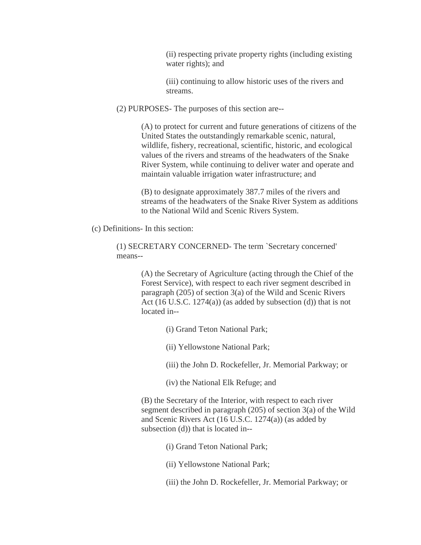(ii) respecting private property rights (including existing water rights); and

(iii) continuing to allow historic uses of the rivers and streams.

(2) PURPOSES- The purposes of this section are--

(A) to protect for current and future generations of citizens of the United States the outstandingly remarkable scenic, natural, wildlife, fishery, recreational, scientific, historic, and ecological values of the rivers and streams of the headwaters of the Snake River System, while continuing to deliver water and operate and maintain valuable irrigation water infrastructure; and

(B) to designate approximately 387.7 miles of the rivers and streams of the headwaters of the Snake River System as additions to the National Wild and Scenic Rivers System.

(c) Definitions- In this section:

(1) SECRETARY CONCERNED- The term `Secretary concerned' means--

> (A) the Secretary of Agriculture (acting through the Chief of the Forest Service), with respect to each river segment described in paragraph (205) of section 3(a) of the Wild and Scenic Rivers Act (16 U.S.C. 1274(a)) (as added by subsection (d)) that is not located in--

- (i) Grand Teton National Park;
- (ii) Yellowstone National Park;
- (iii) the John D. Rockefeller, Jr. Memorial Parkway; or
- (iv) the National Elk Refuge; and

(B) the Secretary of the Interior, with respect to each river segment described in paragraph (205) of section 3(a) of the Wild and Scenic Rivers Act (16 U.S.C. 1274(a)) (as added by subsection (d)) that is located in--

- (i) Grand Teton National Park;
- (ii) Yellowstone National Park;
- (iii) the John D. Rockefeller, Jr. Memorial Parkway; or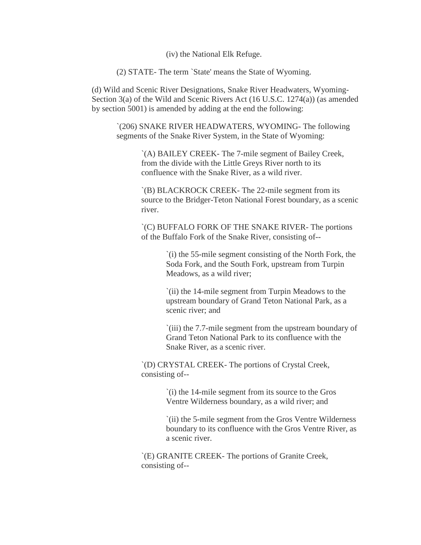(iv) the National Elk Refuge.

(2) STATE- The term `State' means the State of Wyoming.

(d) Wild and Scenic River Designations, Snake River Headwaters, Wyoming-Section 3(a) of the Wild and Scenic Rivers Act (16 U.S.C. 1274(a)) (as amended by section 5001) is amended by adding at the end the following:

`(206) SNAKE RIVER HEADWATERS, WYOMING- The following segments of the Snake River System, in the State of Wyoming:

> `(A) BAILEY CREEK- The 7-mile segment of Bailey Creek, from the divide with the Little Greys River north to its confluence with the Snake River, as a wild river.

`(B) BLACKROCK CREEK- The 22-mile segment from its source to the Bridger-Teton National Forest boundary, as a scenic river.

`(C) BUFFALO FORK OF THE SNAKE RIVER- The portions of the Buffalo Fork of the Snake River, consisting of--

> `(i) the 55-mile segment consisting of the North Fork, the Soda Fork, and the South Fork, upstream from Turpin Meadows, as a wild river;

`(ii) the 14-mile segment from Turpin Meadows to the upstream boundary of Grand Teton National Park, as a scenic river; and

`(iii) the 7.7-mile segment from the upstream boundary of Grand Teton National Park to its confluence with the Snake River, as a scenic river.

`(D) CRYSTAL CREEK- The portions of Crystal Creek, consisting of--

> `(i) the 14-mile segment from its source to the Gros Ventre Wilderness boundary, as a wild river; and

`(ii) the 5-mile segment from the Gros Ventre Wilderness boundary to its confluence with the Gros Ventre River, as a scenic river.

`(E) GRANITE CREEK- The portions of Granite Creek, consisting of--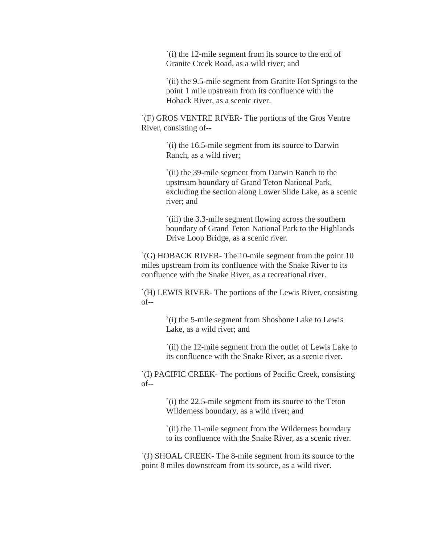`(i) the 12-mile segment from its source to the end of Granite Creek Road, as a wild river; and

`(ii) the 9.5-mile segment from Granite Hot Springs to the point 1 mile upstream from its confluence with the Hoback River, as a scenic river.

`(F) GROS VENTRE RIVER- The portions of the Gros Ventre River, consisting of--

> `(i) the 16.5-mile segment from its source to Darwin Ranch, as a wild river;

`(ii) the 39-mile segment from Darwin Ranch to the upstream boundary of Grand Teton National Park, excluding the section along Lower Slide Lake, as a scenic river; and

`(iii) the 3.3-mile segment flowing across the southern boundary of Grand Teton National Park to the Highlands Drive Loop Bridge, as a scenic river.

`(G) HOBACK RIVER- The 10-mile segment from the point 10 miles upstream from its confluence with the Snake River to its confluence with the Snake River, as a recreational river.

`(H) LEWIS RIVER- The portions of the Lewis River, consisting of--

> `(i) the 5-mile segment from Shoshone Lake to Lewis Lake, as a wild river; and

`(ii) the 12-mile segment from the outlet of Lewis Lake to its confluence with the Snake River, as a scenic river.

`(I) PACIFIC CREEK- The portions of Pacific Creek, consisting of--

> `(i) the 22.5-mile segment from its source to the Teton Wilderness boundary, as a wild river; and

`(ii) the 11-mile segment from the Wilderness boundary to its confluence with the Snake River, as a scenic river.

`(J) SHOAL CREEK- The 8-mile segment from its source to the point 8 miles downstream from its source, as a wild river.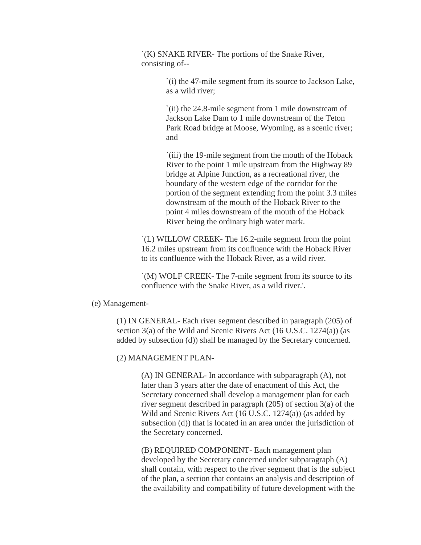`(K) SNAKE RIVER- The portions of the Snake River, consisting of--

> `(i) the 47-mile segment from its source to Jackson Lake, as a wild river;

`(ii) the 24.8-mile segment from 1 mile downstream of Jackson Lake Dam to 1 mile downstream of the Teton Park Road bridge at Moose, Wyoming, as a scenic river; and

`(iii) the 19-mile segment from the mouth of the Hoback River to the point 1 mile upstream from the Highway 89 bridge at Alpine Junction, as a recreational river, the boundary of the western edge of the corridor for the portion of the segment extending from the point 3.3 miles downstream of the mouth of the Hoback River to the point 4 miles downstream of the mouth of the Hoback River being the ordinary high water mark.

`(L) WILLOW CREEK- The 16.2-mile segment from the point 16.2 miles upstream from its confluence with the Hoback River to its confluence with the Hoback River, as a wild river.

`(M) WOLF CREEK- The 7-mile segment from its source to its confluence with the Snake River, as a wild river.'.

#### (e) Management-

(1) IN GENERAL- Each river segment described in paragraph (205) of section 3(a) of the Wild and Scenic Rivers Act (16 U.S.C. 1274(a)) (as added by subsection (d)) shall be managed by the Secretary concerned.

#### (2) MANAGEMENT PLAN-

(A) IN GENERAL- In accordance with subparagraph (A), not later than 3 years after the date of enactment of this Act, the Secretary concerned shall develop a management plan for each river segment described in paragraph (205) of section 3(a) of the Wild and Scenic Rivers Act (16 U.S.C. 1274(a)) (as added by subsection (d)) that is located in an area under the jurisdiction of the Secretary concerned.

(B) REQUIRED COMPONENT- Each management plan developed by the Secretary concerned under subparagraph (A) shall contain, with respect to the river segment that is the subject of the plan, a section that contains an analysis and description of the availability and compatibility of future development with the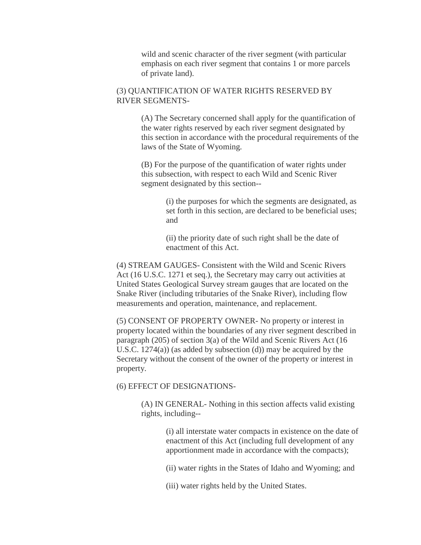wild and scenic character of the river segment (with particular emphasis on each river segment that contains 1 or more parcels of private land).

## (3) QUANTIFICATION OF WATER RIGHTS RESERVED BY RIVER SEGMENTS-

(A) The Secretary concerned shall apply for the quantification of the water rights reserved by each river segment designated by this section in accordance with the procedural requirements of the laws of the State of Wyoming.

(B) For the purpose of the quantification of water rights under this subsection, with respect to each Wild and Scenic River segment designated by this section--

> (i) the purposes for which the segments are designated, as set forth in this section, are declared to be beneficial uses; and

(ii) the priority date of such right shall be the date of enactment of this Act.

(4) STREAM GAUGES- Consistent with the Wild and Scenic Rivers Act (16 U.S.C. 1271 et seq.), the Secretary may carry out activities at United States Geological Survey stream gauges that are located on the Snake River (including tributaries of the Snake River), including flow measurements and operation, maintenance, and replacement.

(5) CONSENT OF PROPERTY OWNER- No property or interest in property located within the boundaries of any river segment described in paragraph (205) of section 3(a) of the Wild and Scenic Rivers Act (16 U.S.C.  $1274(a)$  (as added by subsection (d)) may be acquired by the Secretary without the consent of the owner of the property or interest in property.

### (6) EFFECT OF DESIGNATIONS-

(A) IN GENERAL- Nothing in this section affects valid existing rights, including--

> (i) all interstate water compacts in existence on the date of enactment of this Act (including full development of any apportionment made in accordance with the compacts);

(ii) water rights in the States of Idaho and Wyoming; and

(iii) water rights held by the United States.